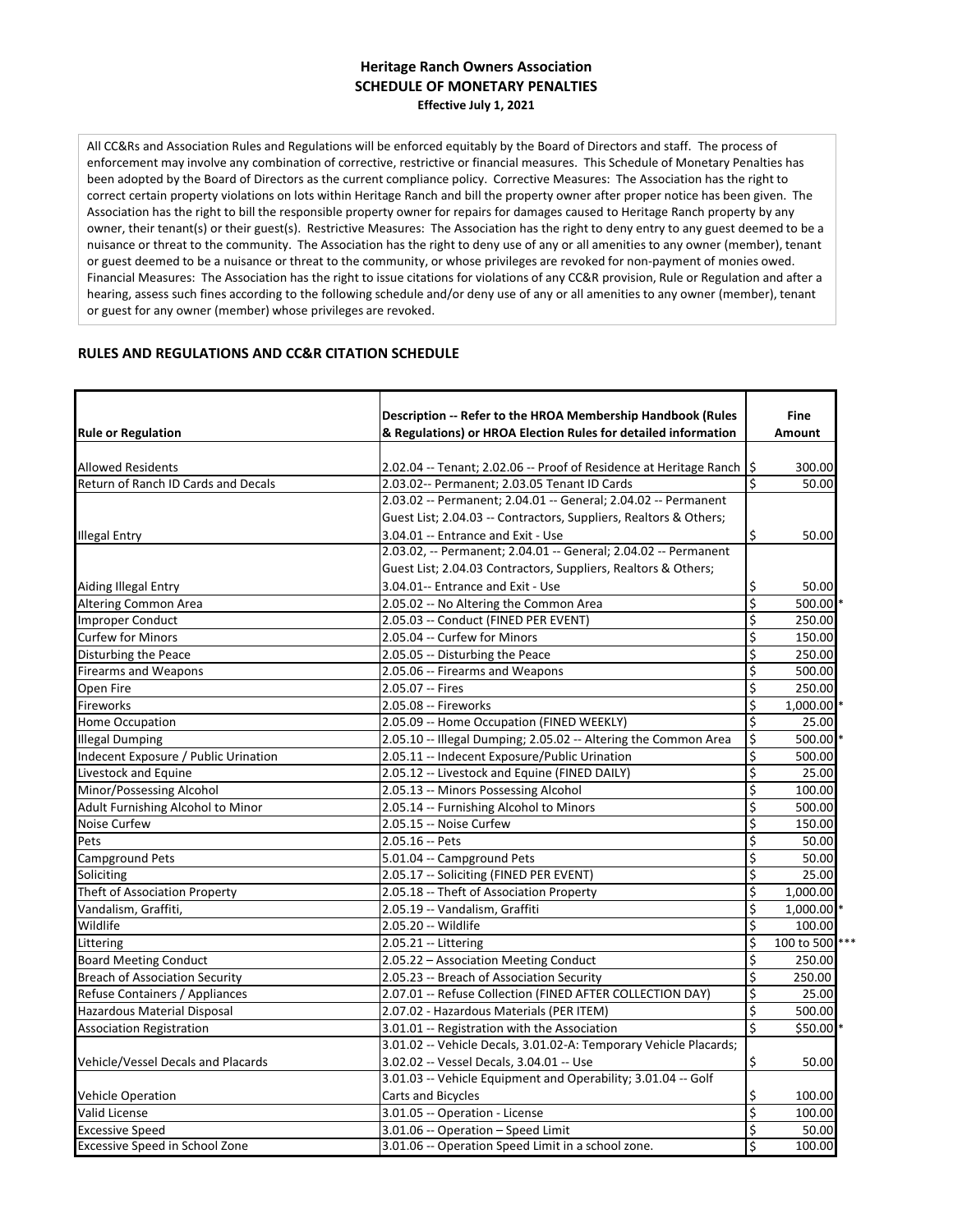## **SCHEDULE OF MONETARY PENALTIES Effective July 1, 2021 Heritage Ranch Owners Association**

All CC&Rs and Association Rules and Regulations will be enforced equitably by the Board of Directors and staff. The process of enforcement may involve any combination of corrective, restrictive or financial measures. This Schedule of Monetary Penalties has been adopted by the Board of Directors as the current compliance policy. Corrective Measures: The Association has the right to correct certain property violations on lots within Heritage Ranch and bill the property owner after proper notice has been given. The Association has the right to bill the responsible property owner for repairs for damages caused to Heritage Ranch property by any owner, their tenant(s) or their guest(s). Restrictive Measures: The Association has the right to deny entry to any guest deemed to be a nuisance or threat to the community. The Association has the right to deny use of any or all amenities to any owner (member), tenant or guest deemed to be a nuisance or threat to the community, or whose privileges are revoked for non-payment of monies owed. Financial Measures: The Association has the right to issue citations for violations of any CC&R provision, Rule or Regulation and after a hearing, assess such fines according to the following schedule and/or deny use of any or all amenities to any owner (member), tenant or guest for any owner (member) whose privileges are revoked.

## **RULES AND REGULATIONS AND CC&R CITATION SCHEDULE**

| <b>Rule or Regulation</b>                    | Description -- Refer to the HROA Membership Handbook (Rules<br>& Regulations) or HROA Election Rules for detailed information |    | <b>Fine</b><br><b>Amount</b> |
|----------------------------------------------|-------------------------------------------------------------------------------------------------------------------------------|----|------------------------------|
| Allowed Residents                            | 2.02.04 -- Tenant; 2.02.06 -- Proof of Residence at Heritage Ranch   \$                                                       |    | 300.00                       |
| Return of Ranch ID Cards and Decals          | 2.03.02-- Permanent; 2.03.05 Tenant ID Cards                                                                                  |    | 50.00                        |
|                                              | 2.03.02 -- Permanent; 2.04.01 -- General; 2.04.02 -- Permanent                                                                |    |                              |
|                                              | Guest List; 2.04.03 -- Contractors, Suppliers, Realtors & Others;                                                             |    |                              |
|                                              | 3.04.01 -- Entrance and Exit - Use                                                                                            | \$ | 50.00                        |
| <b>Illegal Entry</b>                         | 2.03.02, -- Permanent; 2.04.01 -- General; 2.04.02 -- Permanent                                                               |    |                              |
|                                              | Guest List; 2.04.03 Contractors, Suppliers, Realtors & Others;                                                                |    |                              |
|                                              | 3.04.01 -- Entrance and Exit - Use                                                                                            | \$ |                              |
| Aiding Illegal Entry<br>Altering Common Area |                                                                                                                               | \$ | 50.00<br>500.00 *            |
| <b>Improper Conduct</b>                      | 2.05.02 -- No Altering the Common Area<br>2.05.03 -- Conduct (FINED PER EVENT)                                                | \$ | 250.00                       |
|                                              |                                                                                                                               | Ś  |                              |
| <b>Curfew for Minors</b>                     | 2.05.04 -- Curfew for Minors                                                                                                  |    | 150.00                       |
| Disturbing the Peace                         | 2.05.05 -- Disturbing the Peace                                                                                               | \$ | 250.00                       |
| <b>Firearms and Weapons</b>                  | 2.05.06 -- Firearms and Weapons                                                                                               | \$ | 500.00                       |
| Open Fire                                    | 2.05.07 -- Fires                                                                                                              | \$ | 250.00                       |
| Fireworks                                    | 2.05.08 -- Fireworks                                                                                                          | \$ | 1,000.00                     |
| Home Occupation                              | 2.05.09 -- Home Occupation (FINED WEEKLY)                                                                                     | \$ | 25.00                        |
| <b>Illegal Dumping</b>                       | 2.05.10 -- Illegal Dumping; 2.05.02 -- Altering the Common Area                                                               | \$ | 500.00 *                     |
| Indecent Exposure / Public Urination         | 2.05.11 -- Indecent Exposure/Public Urination                                                                                 | \$ | 500.00                       |
| Livestock and Equine                         | 2.05.12 -- Livestock and Equine (FINED DAILY)                                                                                 | \$ | 25.00                        |
| Minor/Possessing Alcohol                     | 2.05.13 -- Minors Possessing Alcohol                                                                                          | \$ | 100.00                       |
| Adult Furnishing Alcohol to Minor            | 2.05.14 -- Furnishing Alcohol to Minors                                                                                       | \$ | 500.00                       |
| Noise Curfew                                 | 2.05.15 -- Noise Curfew                                                                                                       | \$ | 150.00                       |
| Pets                                         | 2.05.16 -- Pets                                                                                                               | Ś  | 50.00                        |
| <b>Campground Pets</b>                       | 5.01.04 -- Campground Pets                                                                                                    | \$ | 50.00                        |
| Soliciting                                   | 2.05.17 -- Soliciting (FINED PER EVENT)                                                                                       | \$ | 25.00                        |
| Theft of Association Property                | 2.05.18 -- Theft of Association Property                                                                                      | \$ | 1,000.00                     |
| Vandalism, Graffiti,                         | 2.05.19 -- Vandalism, Graffiti                                                                                                | \$ | 1,000.00                     |
| Wildlife                                     | 2.05.20 -- Wildlife                                                                                                           | \$ | 100.00                       |
| Littering                                    | 2.05.21 -- Littering                                                                                                          | \$ | 100 to 500                   |
| <b>Board Meeting Conduct</b>                 | 2.05.22 - Association Meeting Conduct                                                                                         | \$ | 250.00                       |
| <b>Breach of Association Security</b>        | 2.05.23 -- Breach of Association Security                                                                                     | \$ | 250.00                       |
| Refuse Containers / Appliances               | 2.07.01 -- Refuse Collection (FINED AFTER COLLECTION DAY)                                                                     | \$ | 25.00                        |
| <b>Hazardous Material Disposal</b>           | 2.07.02 - Hazardous Materials (PER ITEM)                                                                                      | \$ | 500.00                       |
| <b>Association Registration</b>              | 3.01.01 -- Registration with the Association                                                                                  | Ś  | \$50.00 *                    |
|                                              | 3.01.02 -- Vehicle Decals, 3.01.02-A: Temporary Vehicle Placards;                                                             |    |                              |
| Vehicle/Vessel Decals and Placards           | 3.02.02 -- Vessel Decals, 3.04.01 -- Use                                                                                      | \$ | 50.00                        |
|                                              | 3.01.03 -- Vehicle Equipment and Operability; 3.01.04 -- Golf                                                                 |    |                              |
| <b>Vehicle Operation</b>                     | Carts and Bicycles                                                                                                            | \$ | 100.00                       |
| <b>Valid License</b>                         | 3.01.05 -- Operation - License                                                                                                | \$ | 100.00                       |
| <b>Excessive Speed</b>                       | 3.01.06 -- Operation - Speed Limit                                                                                            | \$ | 50.00                        |
| <b>Excessive Speed in School Zone</b>        | 3.01.06 -- Operation Speed Limit in a school zone.                                                                            | Ś. | 100.00                       |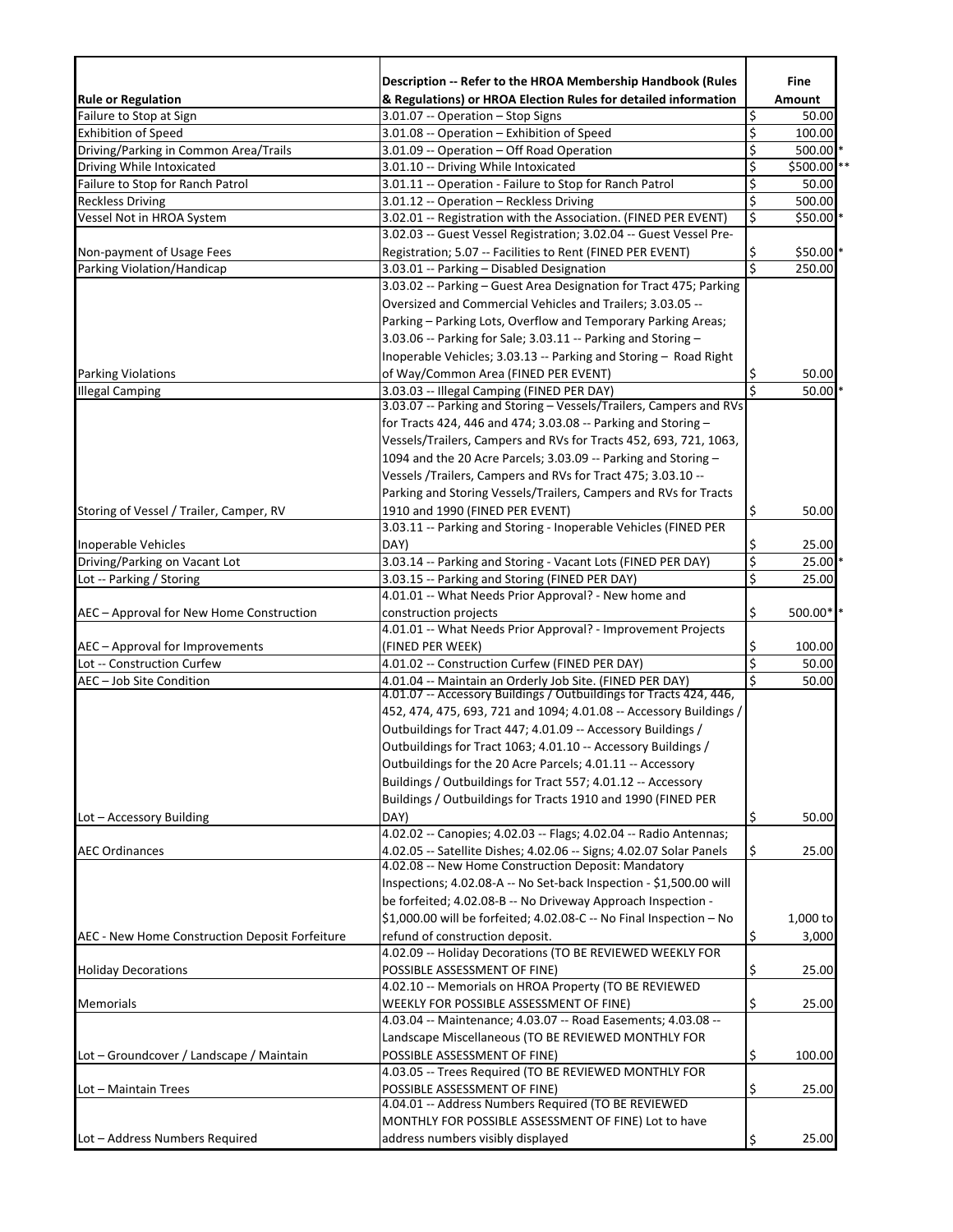|                                                | Description -- Refer to the HROA Membership Handbook (Rules                                              |                         | Fine        |
|------------------------------------------------|----------------------------------------------------------------------------------------------------------|-------------------------|-------------|
| <b>Rule or Regulation</b>                      | & Regulations) or HROA Election Rules for detailed information                                           |                         | Amount      |
| Failure to Stop at Sign                        | 3.01.07 -- Operation - Stop Signs                                                                        | \$                      | 50.00       |
| <b>Exhibition of Speed</b>                     | 3.01.08 -- Operation - Exhibition of Speed                                                               | \$                      | 100.00      |
| Driving/Parking in Common Area/Trails          | 3.01.09 -- Operation - Off Road Operation                                                                | \$                      | 500.00      |
| Driving While Intoxicated                      | 3.01.10 -- Driving While Intoxicated                                                                     | \$                      | \$500.00 ** |
| Failure to Stop for Ranch Patrol               | 3.01.11 -- Operation - Failure to Stop for Ranch Patrol                                                  | \$                      | 50.00       |
| <b>Reckless Driving</b>                        | 3.01.12 -- Operation - Reckless Driving                                                                  | \$                      | 500.00      |
| Vessel Not in HROA System                      | 3.02.01 -- Registration with the Association. (FINED PER EVENT)                                          | \$                      | $$50.00$ *  |
|                                                | 3.02.03 -- Guest Vessel Registration; 3.02.04 -- Guest Vessel Pre-                                       |                         |             |
| Non-payment of Usage Fees                      | Registration; 5.07 -- Facilities to Rent (FINED PER EVENT)                                               | \$                      | $$50.00$ *  |
| Parking Violation/Handicap                     | 3.03.01 -- Parking - Disabled Designation                                                                | $\overline{\mathsf{s}}$ | 250.00      |
|                                                | 3.03.02 -- Parking - Guest Area Designation for Tract 475; Parking                                       |                         |             |
|                                                | Oversized and Commercial Vehicles and Trailers; 3.03.05 --                                               |                         |             |
|                                                | Parking - Parking Lots, Overflow and Temporary Parking Areas;                                            |                         |             |
|                                                | 3.03.06 -- Parking for Sale; 3.03.11 -- Parking and Storing -                                            |                         |             |
|                                                | Inoperable Vehicles; 3.03.13 -- Parking and Storing - Road Right                                         |                         |             |
|                                                | of Way/Common Area (FINED PER EVENT)                                                                     |                         | 50.00       |
| <b>Parking Violations</b>                      | 3.03.03 -- Illegal Camping (FINED PER DAY)                                                               | Ş<br>Ś                  | 50.00       |
| <b>Illegal Camping</b>                         | 3.03.07 -- Parking and Storing - Vessels/Trailers, Campers and RVs                                       |                         |             |
|                                                |                                                                                                          |                         |             |
|                                                | for Tracts 424, 446 and 474; 3.03.08 -- Parking and Storing -                                            |                         |             |
|                                                | Vessels/Trailers, Campers and RVs for Tracts 452, 693, 721, 1063,                                        |                         |             |
|                                                | 1094 and the 20 Acre Parcels; 3.03.09 -- Parking and Storing -                                           |                         |             |
|                                                | Vessels /Trailers, Campers and RVs for Tract 475; 3.03.10 --                                             |                         |             |
|                                                | Parking and Storing Vessels/Trailers, Campers and RVs for Tracts                                         |                         |             |
| Storing of Vessel / Trailer, Camper, RV        | 1910 and 1990 (FINED PER EVENT)                                                                          | \$                      | 50.00       |
|                                                | 3.03.11 -- Parking and Storing - Inoperable Vehicles (FINED PER                                          |                         |             |
| Inoperable Vehicles                            | DAY)                                                                                                     | \$                      | 25.00       |
| Driving/Parking on Vacant Lot                  | 3.03.14 -- Parking and Storing - Vacant Lots (FINED PER DAY)                                             | $\overline{\xi}$        | 25.00       |
| Lot -- Parking / Storing                       | 3.03.15 -- Parking and Storing (FINED PER DAY)                                                           | \$                      | 25.00       |
|                                                | 4.01.01 -- What Needs Prior Approval? - New home and                                                     |                         |             |
| AEC - Approval for New Home Construction       | construction projects                                                                                    | \$                      | $500.00*$   |
|                                                | 4.01.01 -- What Needs Prior Approval? - Improvement Projects                                             |                         |             |
| AEC - Approval for Improvements                | (FINED PER WEEK)                                                                                         | \$                      | 100.00      |
| Lot -- Construction Curfew                     | 4.01.02 -- Construction Curfew (FINED PER DAY)                                                           | \$                      | 50.00       |
| AEC - Job Site Condition                       | 4.01.04 -- Maintain an Orderly Job Site. (FINED PER DAY)                                                 | Ś                       | 50.00       |
|                                                | 4.01.07 -- Accessory Buildings / Outbuildings for Tracts 424, 446,                                       |                         |             |
|                                                | 452, 474, 475, 693, 721 and 1094; 4.01.08 -- Accessory Buildings /                                       |                         |             |
|                                                | Outbuildings for Tract 447; 4.01.09 -- Accessory Buildings /                                             |                         |             |
|                                                | Outbuildings for Tract 1063; 4.01.10 -- Accessory Buildings /                                            |                         |             |
|                                                | Outbuildings for the 20 Acre Parcels; 4.01.11 -- Accessory                                               |                         |             |
|                                                | Buildings / Outbuildings for Tract 557; 4.01.12 -- Accessory                                             |                         |             |
|                                                | Buildings / Outbuildings for Tracts 1910 and 1990 (FINED PER                                             |                         |             |
| Lot - Accessory Building                       | DAY)                                                                                                     | \$                      | 50.00       |
|                                                | 4.02.02 -- Canopies; 4.02.03 -- Flags; 4.02.04 -- Radio Antennas;                                        |                         |             |
| <b>AEC Ordinances</b>                          | 4.02.05 -- Satellite Dishes; 4.02.06 -- Signs; 4.02.07 Solar Panels                                      | \$                      | 25.00       |
|                                                | 4.02.08 -- New Home Construction Deposit: Mandatory                                                      |                         |             |
|                                                | Inspections; 4.02.08-A -- No Set-back Inspection - \$1,500.00 will                                       |                         |             |
|                                                | be forfeited; 4.02.08-B -- No Driveway Approach Inspection -                                             |                         |             |
|                                                | \$1,000.00 will be forfeited; 4.02.08-C -- No Final Inspection - No                                      |                         | 1,000 to    |
| AEC - New Home Construction Deposit Forfeiture | refund of construction deposit.                                                                          | \$                      | 3,000       |
|                                                | 4.02.09 -- Holiday Decorations (TO BE REVIEWED WEEKLY FOR                                                |                         |             |
| <b>Holiday Decorations</b>                     | POSSIBLE ASSESSMENT OF FINE)                                                                             | \$                      | 25.00       |
|                                                |                                                                                                          |                         |             |
| Memorials                                      | 4.02.10 -- Memorials on HROA Property (TO BE REVIEWED                                                    |                         |             |
|                                                | WEEKLY FOR POSSIBLE ASSESSMENT OF FINE)<br>4.03.04 -- Maintenance; 4.03.07 -- Road Easements; 4.03.08 -- | \$                      | 25.00       |
|                                                |                                                                                                          |                         |             |
|                                                | Landscape Miscellaneous (TO BE REVIEWED MONTHLY FOR                                                      |                         |             |
| Lot - Groundcover / Landscape / Maintain       | POSSIBLE ASSESSMENT OF FINE)                                                                             | \$                      | 100.00      |
|                                                | 4.03.05 -- Trees Required (TO BE REVIEWED MONTHLY FOR                                                    |                         |             |
| Lot - Maintain Trees                           | POSSIBLE ASSESSMENT OF FINE)                                                                             | \$                      | 25.00       |
|                                                | 4.04.01 -- Address Numbers Required (TO BE REVIEWED                                                      |                         |             |
|                                                | MONTHLY FOR POSSIBLE ASSESSMENT OF FINE) Lot to have                                                     |                         |             |
| Lot - Address Numbers Required                 | address numbers visibly displayed                                                                        | \$                      | 25.00       |